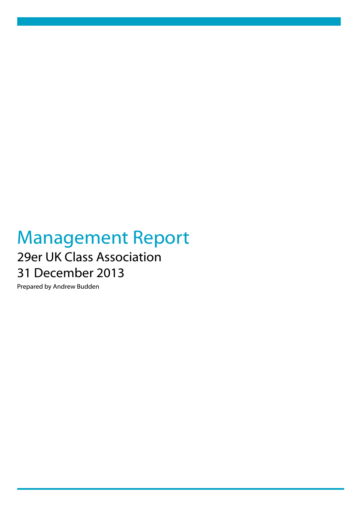# Management Report 29er UK Class Association 31 December 2013

Prepared by Andrew Budden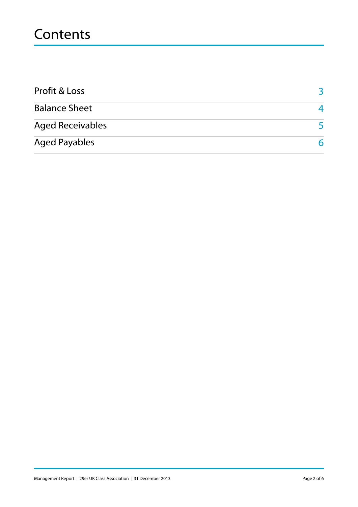## **Contents**

| <b>Profit &amp; Loss</b> |   |
|--------------------------|---|
| <b>Balance Sheet</b>     |   |
| <b>Aged Receivables</b>  |   |
| <b>Aged Payables</b>     | 6 |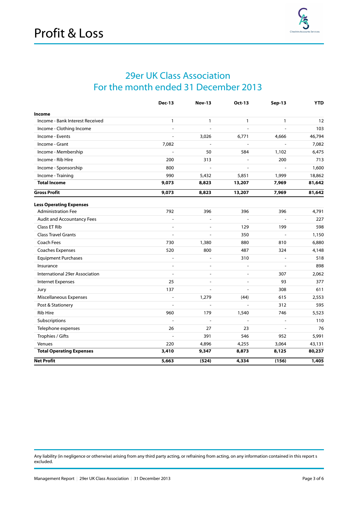

#### 29er UK Class Association For the month ended 31 December 2013

|                                 | <b>Dec-13</b>  | <b>Nov-13</b>  | Oct-13         | <b>Sep-13</b>            | <b>YTD</b> |
|---------------------------------|----------------|----------------|----------------|--------------------------|------------|
| Income                          |                |                |                |                          |            |
| Income - Bank Interest Received | 1              | $\mathbf{1}$   | $\mathbf{1}$   | $\mathbf{1}$             | 12         |
| Income - Clothing Income        |                | $\overline{a}$ | $\overline{a}$ |                          | 103        |
| Income - Events                 | ÷,             | 3,026          | 6,771          | 4,666                    | 46,794     |
| Income - Grant                  | 7,082          | $\overline{a}$ | $\overline{a}$ | $\frac{1}{2}$            | 7,082      |
| Income - Membership             |                | 50             | 584            | 1,102                    | 6,475      |
| Income - Rib Hire               | 200            | 313            |                | 200                      | 713        |
| Income - Sponsorship            | 800            |                |                |                          | 1,600      |
| Income - Training               | 990            | 5,432          | 5,851          | 1,999                    | 18,862     |
| <b>Total Income</b>             | 9,073          | 8,823          | 13,207         | 7,969                    | 81,642     |
| <b>Gross Profit</b>             | 9,073          | 8,823          | 13,207         | 7,969                    | 81,642     |
| <b>Less Operating Expenses</b>  |                |                |                |                          |            |
| <b>Administration Fee</b>       | 792            | 396            | 396            | 396                      | 4,791      |
| Audit and Accountancy Fees      |                |                | ÷,             |                          | 227        |
| Class ET Rib                    |                |                | 129            | 199                      | 598        |
| <b>Class Travel Grants</b>      | $\overline{a}$ | $\overline{a}$ | 350            |                          | 1,150      |
| Coach Fees                      | 730            | 1,380          | 880            | 810                      | 6,880      |
| Coaches Expenses                | 520            | 800            | 487            | 324                      | 4,148      |
| <b>Equipment Purchases</b>      | $\overline{a}$ | $\overline{a}$ | 310            | ÷,                       | 518        |
| Insurance                       |                |                | L,             |                          | 898        |
| International 29er Association  |                | $\overline{a}$ | $\overline{a}$ | 307                      | 2,062      |
| <b>Internet Expenses</b>        | 25             | $\overline{a}$ | $\overline{a}$ | 93                       | 377        |
| Jury                            | 137            |                | $\sim$         | 308                      | 611        |
| Miscellaneous Expenses          |                | 1,279          | (44)           | 615                      | 2,553      |
| Post & Stationery               |                | $\overline{a}$ |                | 312                      | 595        |
| Rib Hire                        | 960            | 179            | 1,540          | 746                      | 5,523      |
| Subscriptions                   |                | $\overline{a}$ | $\overline{a}$ | $\overline{\phantom{a}}$ | 110        |
| Telephone expenses              | 26             | 27             | 23             | $\overline{\phantom{a}}$ | 76         |
| Trophies / Gifts                |                | 391            | 546            | 952                      | 5,991      |
| Venues                          | 220            | 4,896          | 4,255          | 3,064                    | 43,131     |
| <b>Total Operating Expenses</b> | 3,410          | 9,347          | 8,873          | 8,125                    | 80,237     |
| <b>Net Profit</b>               | 5,663          | (524)          | 4,334          | (156)                    | 1,405      |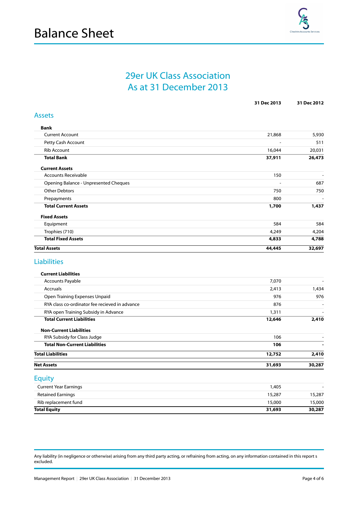

#### 29er UK Class Association As at 31 December 2013

<span id="page-3-0"></span>

|                                                                          | 31 Dec 2013     | 31 Dec 2012    |
|--------------------------------------------------------------------------|-----------------|----------------|
| <b>Assets</b>                                                            |                 |                |
| <b>Bank</b>                                                              |                 |                |
| <b>Current Account</b>                                                   | 21,868          | 5,930          |
| Petty Cash Account                                                       |                 | 511            |
| <b>Rib Account</b>                                                       | 16,044          | 20,031         |
| <b>Total Bank</b>                                                        | 37,911          | 26,473         |
| <b>Current Assets</b>                                                    |                 |                |
| <b>Accounts Receivable</b>                                               | 150             | $\blacksquare$ |
| Opening Balance - Unpresented Cheques                                    |                 | 687            |
| <b>Other Debtors</b>                                                     | 750             | 750            |
| Prepayments                                                              | 800             |                |
| <b>Total Current Assets</b>                                              | 1,700           | 1,437          |
| <b>Fixed Assets</b>                                                      |                 |                |
| Equipment                                                                | 584             | 584            |
| Trophies (710)                                                           | 4,249           | 4,204          |
| <b>Total Fixed Assets</b>                                                | 4,833           | 4,788          |
| <b>Total Assets</b>                                                      | 44,445          | 32,697         |
| <b>Liabilities</b>                                                       |                 |                |
| <b>Current Liabilities</b>                                               |                 | $\overline{a}$ |
| <b>Accounts Payable</b>                                                  | 7,070           |                |
| Accruals                                                                 | 2,413           | 1,434          |
| Open Training Expenses Unpaid                                            | 976             | 976            |
| RYA class co-ordinator fee recieved in advance                           | 876             |                |
| RYA open Training Subsidy in Advance<br><b>Total Current Liabilities</b> | 1,311<br>12,646 | 2,410          |
|                                                                          |                 |                |
| <b>Non-Current Liabilities</b>                                           | 106             |                |
| RYA Subsidy for Class Judge<br><b>Total Non-Current Liabilities</b>      | 106             |                |
| <b>Total Liabilities</b>                                                 | 12,752          | 2,410          |
|                                                                          |                 |                |
| <b>Net Assets</b>                                                        | 31,693          | 30,287         |
| <b>Equity</b>                                                            |                 |                |
| <b>Current Year Earnings</b>                                             | 1,405           |                |
| <b>Retained Earnings</b>                                                 | 15,287          | 15,287         |
| Rib replacement fund                                                     | 15,000          | 15,000         |
| <b>Total Equity</b>                                                      | 31,693          | 30,287         |
|                                                                          |                 |                |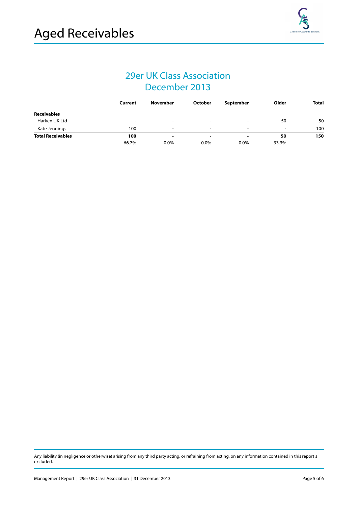### 29er UK Class Association December 2013

|                          | Current                  | <b>November</b> | October                  | September                | Older                    | <b>Total</b> |
|--------------------------|--------------------------|-----------------|--------------------------|--------------------------|--------------------------|--------------|
| <b>Receivables</b>       |                          |                 |                          |                          |                          |              |
| Harken UK Ltd            | $\overline{\phantom{0}}$ | -               | $\overline{\phantom{a}}$ | $\overline{\phantom{a}}$ | 50                       | 50           |
| Kate Jennings            | 100                      | $\blacksquare$  |                          | $\blacksquare$           | $\overline{\phantom{0}}$ | 100          |
| <b>Total Receivables</b> | 100                      |                 |                          |                          | 50                       | 150          |
|                          | 66.7%                    | 0.0%            | $0.0\%$                  | 0.0%                     | 33.3%                    |              |